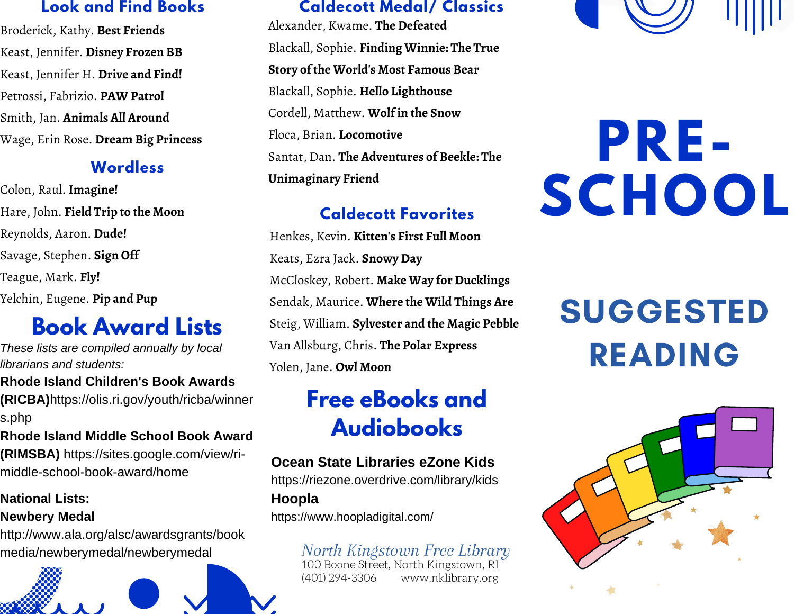### **Look and Find Books**

Broderick, Kathy. **Best Friends** Keast, Jennifer. **Disney Frozen BB** Keast, Jennifer H. **Drive and Find!** Petrossi, Fabrizio. **PAW Patrol** Smith, Jan. **Animals All Around** Wage, Erin Rose. **Dream Big Princess**

### **Wordless**

Colon, Raul. **Imagine!** Hare, John. **Field Trip to the Moon** Reynolds, Aaron. **Dude!** Savage, Stephen. **Sign Off** Teague, Mark. **Fly!** Yelchin, Eugene. **Pip and Pup**

### **Book Award Lists**

*These lists are compiled annually by local librarians and students:*

**Rhode Island Children's Book Awards (RICBA)**https://olis.ri.gov/youth/ricba/winner s.php

**Rhode Island Middle School Book Award (RIMSBA)** https://sites.google.com/view/rimiddle-school-book-award/home

### **National Lists: Newbery Medal**

http://www.ala.org/alsc/awardsgrants/book media/newberymedal/newberymedal



### **Caldecott Medal/ Classics**

Alexander, Kwame. **The Defeated** Blackall, Sophie. **Finding Winnie: The True Story of the World's Most Famous Bear** Blackall, Sophie. **Hello Lighthouse** Cordell, Matthew. **Wolf in the Snow** Floca, Brian. **Locomotive** Santat, Dan. **The Adventures of Beekle: The Unimaginary Friend**

### **Caldecott Favorites**

Henkes, Kevin. **Kitten's First Full Moon** Keats, Ezra Jack. **Snowy Day** McCloskey, Robert. **Make Way for Ducklings** Sendak, Maurice. **Where the Wild Things Are** Steig, William. **Sylvester and the Magic Pebble** Van Allsburg, Chris. **The Polar Express** Yolen, Jane. **Owl Moon**

## **Free eBooks and Audiobooks**

### **Ocean State Libraries eZone Kids**

https://riezone.overdrive.com/library/kids

### **Hoopla**

https://www.hoopladigital.com/

## North Kingstown Free Library<br>100 Boone Street, North Kingstown, RI

www.nklibrary.org (401) 294-3306



# **PRE-SCHOOL**

## **SUGGESTED** READING